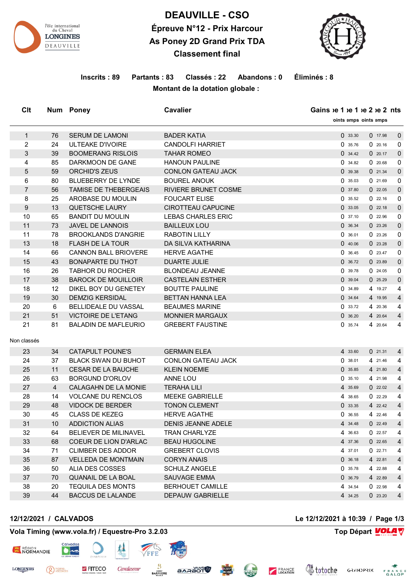

# **DEAUVILLE - CSO Épreuve N°12 - Prix Harcour As Poney 2D Grand Prix TDA Classement final**

Clt Num Poney **Cavalier Cavalier Cavalier Gains**  $ie 1$   $ie 2$   $ie 2$  ints

1 76 SERUM DE LAMONI BADER KATIA 1 2008 0 33.30 0 17.98 0



**Points emps oints emps** 

#### **Inscrits : 89 Partants : 83 Classés : 22 Abandons : 0 Éliminés : 8 Montant de la dotation globale :**

2 24 ULTEAKE D'IVOIRE CANDOLFI HARRIET O 35.76 0 20.16 0 3 39 BOOMERANG RISLOIS TAHAR ROMEO 20.17 0 34.42 0 20.17 0 4 85 DARKMOON DE GANE HANOUN PAULINE 0 34.82 0 20.68 0 5 59 ORCHID'S ZEUS CONLON GATEAU JACK 0 39.38 0 21.34 0 6 80 BLUEBERRY DE LYNDE BOUREL ANOUK 0 35.03 0 21.69 0 7 56 TAMISE DE THEBERGEAIS RIVIERE BRUNET COSME 0 37.80 0 37.80 0 22.05 0 8 25 AROBASE DU MOULIN FOUCART ELISE 20 35.52 0 35.52 0 32.16 0 9 13 QUETSCHE LAURY CIROTTEAU CAPUCINE 19 13.05 0 33.05 0 22.18 0 10 65 BANDIT DU MOULIN LEBAS CHARLES ERIC 0 37.10 0 22.96 0 11 73 JAVEL DE LANNOIS BAILLEUX LOU DE CONSERVATION DE 36.34 0 23.26 0 11 78 BROOKLANDS D'ANGRIE RABOTIN LILLY 1999 CONSERVATION 10 36.01 0 23.26 0 13 18 FLASH DE LA TOUR DA SILVA KATHARINA 0 40.06 0 23.28 0 14 66 CANNON BALL BRIOVERE HERVE AGATHE 1 23.47 0 36.45 0 23.47 0 15 43 BONAPARTE DU THOT DUARTE JULIE 0 36.72 0 23.89 0 16 26 TABHOR DU ROCHER BLONDEAU JEANNE 16 24.05 0 39.78 0 24.05 0 17 38 BAROCK DE MOUILLOIR CASTELAIN ESTHER 0 39.04 0 25.29 0 18 12 DIKEL BOY DU GENETEY BOUTTE PAULINE 0 34.89 4 19.27 4 19 30 DEMZIG KERSIDAL BETTAN HANNA LEA 0 34.64 4 19.95 4 20 6 BELLIDEALE DU VASSAL BEAUMES MARINE 0 33.72 4 20.36 4 21 51 VICTOIRE DE L'ETANG MONNIER MARGAUX 0 36.20 4 20.64 4 21 81 BALADIN DE MAFLEURIO GREBERT FAUSTINE **12000 121 CM 35.74** 4 20.64 4 Non classés 23 34 CATAPULT POUNE'S GERMAIN ELEA 4 33.60 0 21.31 4 24 37 BLACK SWAN DU BUHOT CONLON GATEAU JACK 0 38.01 4 21.46 4 25 11 CESAR DE LA BAUCHE KLEIN NOEMIE 0 35.85 4 21.80 4 26 63 BORGUND D'ORLOV ANNE LOU 0 35.10 4 21.98 4 27 4 CALAGAHN DE LA MONIE TERAHA LILI 4 35.69 0 22.02 4 28 14 VOLCANE DU RENCLOS MEEKE GABRIELLE 4 38.65 0 22.29 4 29 48 VIDOCK DE BERDER TONON CLEMENT 0 33.35 4 22.42 4 30 45 CLASS DE KEZEG HERVE AGATHE **120.46 122.46** 122.46 4 22.46 12 31 10 ADDICTION ALIAS DENIS JEANNE ADELE 4 34.48 0 22.49 4 32 64 BELIEVER DE MILINAVEL TRAN CHARLYZE 1 1 1 1 1 4 36.63 0 22.57 4 33 68 COEUR DE LION D'ARLAC BEAU HUGOLINE 4 37.36 0 22.65 4 34 71 CLIMBER DES ADDOR GREBERT CLOVIS 4 37.01 0 22.71 4 35 87 VELLEDA DE MONTMAIN CORYN ANAIS 0 36.18 4 22.81 4 36 50 ALIA DES COSSES SCHULZ ANGELE 0 35.78 4 22.88 4 37 70 QUANAIL DE LA BOAL SAUVAGE EMMA 0 36.79 4 22.89 4 38 20 TEQUILA DES MONTS BERHOUET CAMILLE 4 34.54 0 22.98 4 39 44 BACCUS DE LALANDE DEPAUW GABRIELLE 4 34.25 0 23.20 4

**BARAOT** 

#### **Vola Timing (www.vola.fr) / Equestre-Pro 3.2.03 Top Départ Top Départ VOLA**

**EITECO** 

**Cavalassur** 

**BARRIERE** 



Q PIERRE

**LONGINES** 

**12/12/2021 / CALVADOS Le 12/12/2021 à 10:39 / Page 1/3**

**&totoche** 

FRANCE

**VolaSoftControlPdf**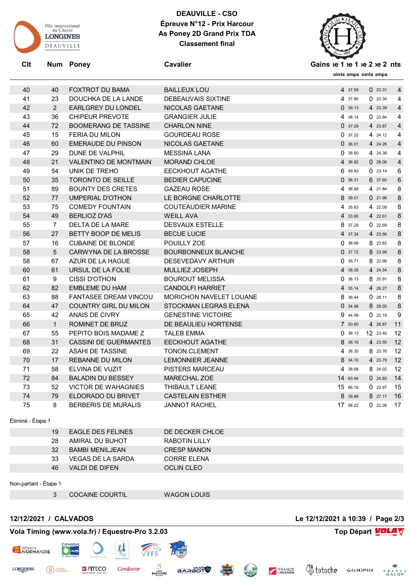

### **DEAUVILLE - CSO Épreuve N°12 - Prix Harcour As Poney 2D Grand Prix TDA Classement final**



Clt Num Poney **Cavalier Cavalier Cavalier Gains**  $ie 1$   $ie 2$   $ie 2$  ints

**Points emps loints emps** 

| 40 | 40             | <b>FOXTROT DU BAMA</b>       | <b>BAILLEUX LOU</b>            | 4 37.59  | 023.31   | $\overline{4}$ |
|----|----------------|------------------------------|--------------------------------|----------|----------|----------------|
| 41 | 23             | DOUCHKA DE LA LANDE          | <b>DEBEAUVAIS SIXTINE</b>      | 4 37.80  | 023.34   | 4              |
| 42 | 2              | <b>EARLGREY DU LONDEL</b>    | NICOLAS GAETANE                | 0.39.13  | 4 23.39  | $\overline{4}$ |
| 43 | 36             | <b>CHIPEUR PREVOTE</b>       | <b>GRANGIER JULIE</b>          | 4 38.14  | 023.84   | 4              |
| 44 | 72             | <b>BOOMERANG DE TASSINE</b>  | <b>CHARLON NINE</b>            | 0.37.29  | 4 23.87  | $\overline{4}$ |
| 45 | 15             | <b>FERIA DU MILON</b>        | <b>GOURDEAU ROSE</b>           | 0.37.22  | 4 24.12  | 4              |
| 46 | 60             | <b>EMERAUDE DU PINSON</b>    | <b>NICOLAS GAETANE</b>         | 0.36.01  | 4 24.26  | $\overline{4}$ |
| 47 | 29             | DUNE DE VALPHIL              | <b>MESSINA LANA</b>            | 038.60   | 4 24.38  | 4              |
| 48 | 21             | <b>VALENTINO DE MONTMAIN</b> | <b>MORAND CHLOE</b>            | 4 36.82  | 0.26.06  | $\overline{4}$ |
| 49 | 54             | UNIK DE TREHO                | <b>EECKHOUT AGATHE</b>         | 6 49.83  | 023.14   | 6              |
| 50 | 35             | <b>TORONTO DE SEILLE</b>     | <b>BEDIER CAPUCINE</b>         | 0.36.31  | 6 37.60  | 6              |
| 51 | 89             | <b>BOUNTY DES CRETES</b>     | <b>GAZEAU ROSE</b>             | 4 36.48  | 4 21.84  | 8              |
| 52 | 77             | UMPERIAL D'OTHON             | LE BORGNE CHARLOTTE            | 8 39.01  | 021.96   | 8              |
| 53 | 75             | <b>COMEDY FOUNTAIN</b>       | <b>COUTEAUDIER MARINE</b>      | 4 35.63  | 4 22.09  | 8              |
| 54 | 49             | <b>BERLIOZ D'AS</b>          | <b>WEILL AVA</b>               | 4 33.60  | 4 22.61  | 8              |
| 55 | $\overline{7}$ | DELTA DE LA MARE             | <b>DESVAUX ESTELLE</b>         | 8 37.29  | 022.68   | 8              |
| 56 | 27             | <b>BETTY BOOP DE MELIS</b>   | <b>BECUE LUCIE</b>             | 4 37.34  | 4 23.56  | 8              |
| 57 | 16             | <b>CUBAINE DE BLONDE</b>     | POUILLY ZOE                    | 038.69   | 8 23.82  | 8              |
| 58 | 5              | CARWYNA DE LA BROSSE         | <b>BOURBONNEUX BLANCHE</b>     | 0.37.72  | 8 23.99  | $8\phantom{1}$ |
| 58 | 67             | AZUR DE LA HAGUE             | DESEVEDAVY ARTHUR              | 0.35.71  | 8 23.99  | 8              |
| 60 | 61             | URSUL DE LA FOLIE            | <b>MULLIEZ JOSEPH</b>          | 4 38.35  | 4 24.54  | $8\phantom{1}$ |
| 61 | 9              | <b>CISSI D'OTHON</b>         | <b>BOUROUT MELISSA</b>         | 0.36.13  | 8 25.91  | 8              |
| 62 | 82             | EMBLEME DU HAM               | <b>CANDOLFI HARRIET</b>        | 4 35.14  | 4 26.27  | 8              |
| 63 | 88             | <b>FANTASEE DREAM VINCOU</b> | <b>MORICHON NAVELET LOUANE</b> | 8 36.44  | 0.28.11  | 8              |
| 64 | 47             | <b>COUNTRY GIRL DU MILON</b> | STOCKMAN LEGRAS ELENA          | 034.98   | 8 29.05  | 8              |
| 65 | 42             | ANAIS DE CIVRY               | <b>GENESTINE VICTOIRE</b>      | 9 44.99  | 0.22.19  | 9              |
| 66 | $\mathbf{1}$   | ROMINET DE BRUZ              | DE BEAULIEU HORTENSE           | 7 50.60  | 4 26.87  | 11             |
| 67 | 55             | PEPITO BOIS MADAME Z         | TALEB EMMA                     | 0.38.13  | 12 23.40 | 12             |
| 68 | 31             | <b>CASSINI DE GUERMANTES</b> | <b>EECKHOUT AGATHE</b>         | 8 36.19  | 4 23.50  | 12             |
| 69 | 22             | <b>ASAHI DE TASSINE</b>      | <b>TONON CLEMENT</b>           | 4 38.35  | 8 23.76  | 12             |
| 70 | 17             | <b>REBANNE DU MILON</b>      | <b>LEMONNIER JEANNE</b>        | 8 34.10  | 4 23.79  | 12             |
| 71 | 58             | ELVINA DE VUZIT              | <b>PISTERS MARCEAU</b>         | 4 38.68  | 8 24.02  | 12             |
| 72 | 84             | <b>BALADIN DU BESSEY</b>     | <b>MARECHAL ZOE</b>            | 14 63.94 | 0.24.85  | 14             |
| 73 | 52             | <b>VICTOR DE WAHAGNIES</b>   | THIBAULT LEANE                 | 15 66.16 | 023.97   | 15             |
| 74 | 79             | ELDORADO DU BRIVET           | <b>CASTELAIN ESTHER</b>        | 8 39.89  | 8 27.17  | 16             |
| 75 | 8              | <b>BERBERIS DE MURALIS</b>   | <b>JANNOT RACHEL</b>           | 17 58.22 | 0.22.26  | 17             |
|    |                |                              |                                |          |          |                |

Éliminé - Étape 1

| 19 | EAGLE DES FELINES | DE DECKER CHLOE    |
|----|-------------------|--------------------|
| 28 | AMIRAL DU BUHOT   | RABOTIN LILLY      |
| 32 | BAMBI MENILJEAN   | <b>CRESP MANON</b> |
| 33 | VEGAS DE LA SARDA | CORRE ELENA        |
| 46 | VALDI DE DIFEN    | OCLIN CLEO         |
|    |                   |                    |

Non-partant - Étape 1

**LONGINES** 

COCAINE COURTIL WAGON LOUIS

**BARAOT** 

B

**BARRIERE** 

Cavalassur

#### **12/12/2021 / CALVADOS Le 12/12/2021 à 10:39 / Page 2/3**

**Voloche** GRANDPRIX FRANCE

FRANCE

CLEAN

## **Vola Timing (www.vola.fr) / Equestre-Pro 3.2.03 Top Départ VOLA**

FITECO



<sup>PIERRE</sup>